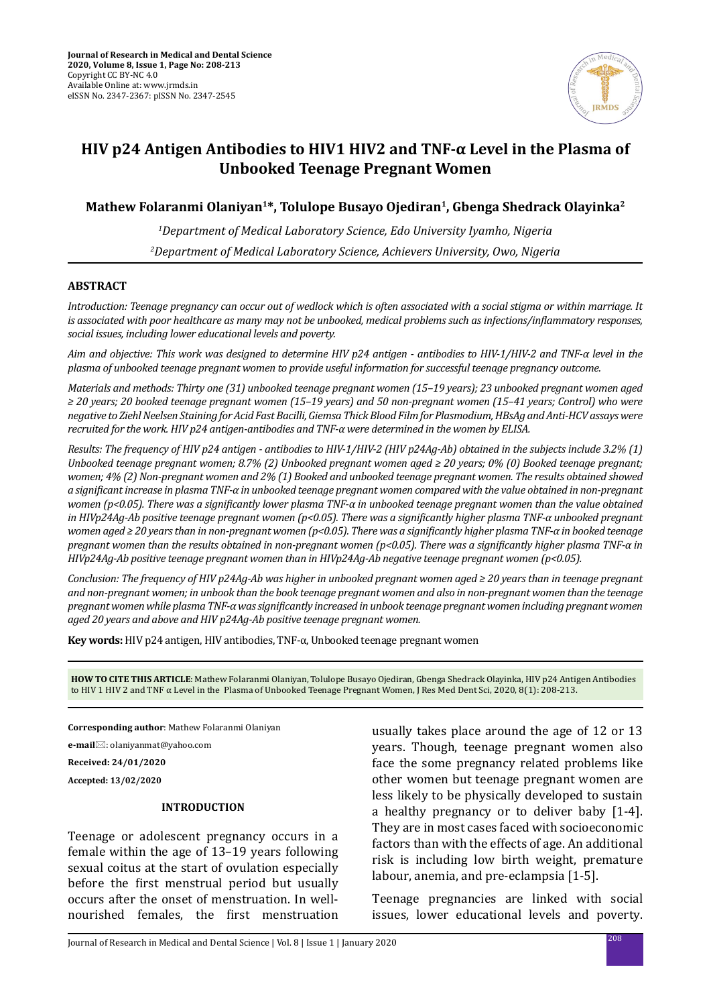

# **HIV p24 Antigen Antibodies to HIV1 HIV2 and TNF-α Level in the Plasma of Unbooked Teenage Pregnant Women**

# **Mathew Folaranmi Olaniyan1\*, Tolulope Busayo Ojediran1, Gbenga Shedrack Olayinka2**

*1 Department of Medical Laboratory Science, Edo University Iyamho, Nigeria 2 Department of Medical Laboratory Science, Achievers University, Owo, Nigeria*

# **ABSTRACT**

*Introduction: Teenage pregnancy can occur out of wedlock which is often associated with a social stigma or within marriage. It is associated with poor healthcare as many may not be unbooked, medical problems such as infections/inflammatory responses, social issues, including lower educational levels and poverty.* 

*Aim and objective: This work was designed to determine HIV p24 antigen - antibodies to HIV-1/HIV-2 and TNF-α level in the plasma of unbooked teenage pregnant women to provide useful information for successful teenage pregnancy outcome.*

*Materials and methods: Thirty one (31) unbooked teenage pregnant women (15–19 years); 23 unbooked pregnant women aged ≥ 20 years; 20 booked teenage pregnant women (15–19 years) and 50 non-pregnant women (15–41 years; Control) who were negative to Ziehl Neelsen Staining for Acid Fast Bacilli, Giemsa Thick Blood Film for Plasmodium, HBsAg and Anti-HCV assays were recruited for the work. HIV p24 antigen-antibodies and TNF-α were determined in the women by ELISA.* 

*Results: The frequency of HIV p24 antigen - antibodies to HIV-1/HIV-2 (HIV p24Ag-Ab) obtained in the subjects include 3.2% (1) Unbooked teenage pregnant women; 8.7% (2) Unbooked pregnant women aged ≥ 20 years; 0% (0) Booked teenage pregnant; women; 4% (2) Non-pregnant women and 2% (1) Booked and unbooked teenage pregnant women. The results obtained showed a significant increase in plasma TNF-α in unbooked teenage pregnant women compared with the value obtained in non-pregnant women (p<0.05). There was a significantly lower plasma TNF-α in unbooked teenage pregnant women than the value obtained in HIVp24Ag-Ab positive teenage pregnant women (p<0.05). There was a significantly higher plasma TNF-α unbooked pregnant women aged ≥ 20 years than in non-pregnant women (p<0.05). There was a significantly higher plasma TNF-α in booked teenage pregnant women than the results obtained in non-pregnant women (p<0.05). There was a significantly higher plasma TNF-α in HIVp24Ag-Ab positive teenage pregnant women than in HIVp24Ag-Ab negative teenage pregnant women (p<0.05).* 

*Conclusion: The frequency of HIV p24Ag-Ab was higher in unbooked pregnant women aged ≥ 20 years than in teenage pregnant and non-pregnant women; in unbook than the book teenage pregnant women and also in non-pregnant women than the teenage pregnant women while plasma TNF-α was significantly increased in unbook teenage pregnant women including pregnant women aged 20 years and above and HIV p24Ag-Ab positive teenage pregnant women.*

**Key words:** HIV p24 antigen, HIV antibodies, TNF-α, Unbooked teenage pregnant women

**HOW TO CITE THIS ARTICLE**: Mathew Folaranmi Olaniyan, Tolulope Busayo Ojediran, Gbenga Shedrack Olayinka, HIV p24 Antigen Antibodies to HIV 1 HIV 2 and TNF α Level in the Plasma of Unbooked Teenage Pregnant Women, J Res Med Dent Sci, 2020, 8(1): 208-213.

**Corresponding author**: Mathew Folaranmi Olaniyan

**e-mail**: olaniyanmat@yahoo.com

**Received: 24/01/2020**

**Accepted: 13/02/2020**

# **INTRODUCTION**

Teenage or adolescent pregnancy occurs in a female within the age of 13–19 years following sexual coitus at the start of ovulation especially before the first menstrual period but usually occurs after the onset of menstruation. In wellnourished females, the first menstruation usually takes place around the age of 12 or 13 years. Though, teenage pregnant women also face the some pregnancy related problems like other women but teenage pregnant women are less likely to be physically developed to sustain a healthy pregnancy or to deliver baby [1-4]. They are in most cases faced with socioeconomic factors than with the effects of age. An additional risk is including low birth weight, premature labour, anemia, and pre-eclampsia [1-5].

Teenage pregnancies are linked with social issues, lower educational levels and poverty.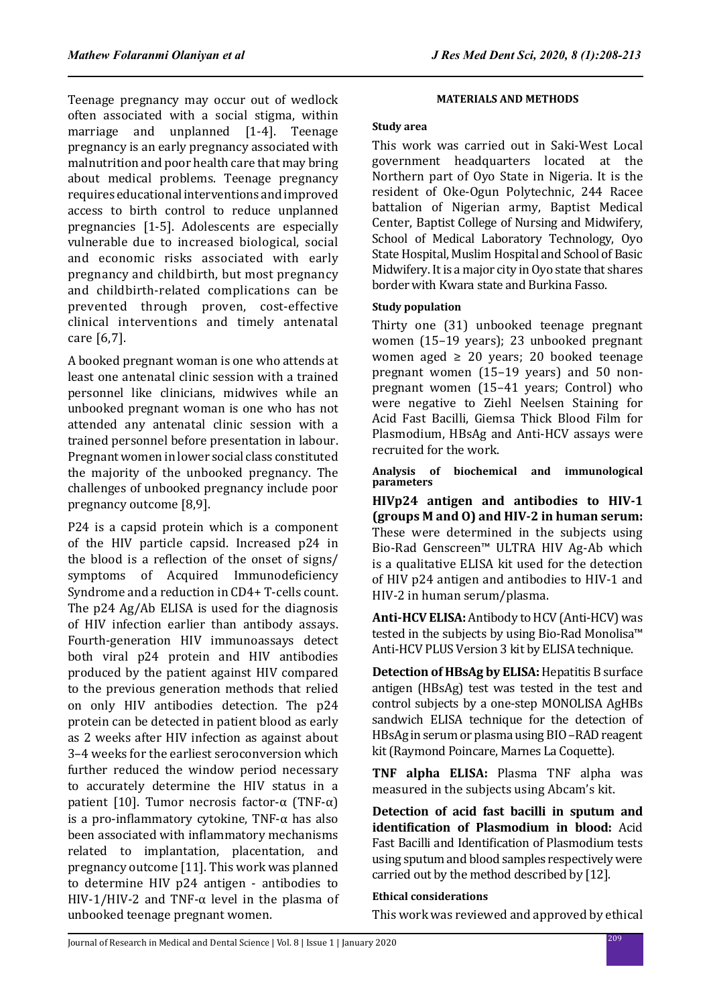Teenage pregnancy may occur out of wedlock often associated with a social stigma, within marriage and unplanned [1-4]. Teenage pregnancy is an early pregnancy associated with malnutrition and poor health care that may bring about medical problems. Teenage pregnancy requires educational interventions and improved access to birth control to reduce unplanned pregnancies [1-5]. Adolescents are especially vulnerable due to increased biological, social and economic risks associated with early pregnancy and childbirth, but most pregnancy and childbirth-related complications can be prevented through proven, cost-effective clinical interventions and timely antenatal care [6,7].

A booked pregnant woman is one who attends at least one antenatal clinic session with a trained personnel like clinicians, midwives while an unbooked pregnant woman is one who has not attended any antenatal clinic session with a trained personnel before presentation in labour. Pregnant women in lower social class constituted the majority of the unbooked pregnancy. The challenges of unbooked pregnancy include poor pregnancy outcome [8,9].

P24 is a capsid protein which is a component of the HIV particle capsid. Increased p24 in the blood is a reflection of the onset of signs/ symptoms of Acquired Immunodeficiency Syndrome and a reduction in CD4+ T-cells count. The p24 Ag/Ab ELISA is used for the diagnosis of HIV infection earlier than antibody assays. Fourth-generation HIV immunoassays detect both viral p24 protein and HIV antibodies produced by the patient against HIV compared to the previous generation methods that relied on only HIV antibodies detection. The p24 protein can be detected in patient blood as early as 2 weeks after HIV infection as against about 3–4 weeks for the earliest seroconversion which further reduced the window period necessary to accurately determine the HIV status in a patient [10]. Tumor necrosis factor-α (TNF-α) is a pro-inflammatory cytokine, TNF- $\alpha$  has also been associated with inflammatory mechanisms related to implantation, placentation, and pregnancy outcome [11]. This work was planned to determine HIV p24 antigen - antibodies to HIV-1/HIV-2 and TNF- $\alpha$  level in the plasma of unbooked teenage pregnant women.

## **MATERIALS AND METHODS**

## **Study area**

This work was carried out in Saki-West Local government headquarters located at the Northern part of Oyo State in Nigeria. It is the resident of Oke-Ogun Polytechnic, 244 Racee battalion of Nigerian army, Baptist Medical Center, Baptist College of Nursing and Midwifery, School of Medical Laboratory Technology, Oyo State Hospital, Muslim Hospital and School of Basic Midwifery. It is a major city in Oyo state that shares border with Kwara state and Burkina Fasso.

## **Study population**

Thirty one (31) unbooked teenage pregnant women (15–19 years); 23 unbooked pregnant women aged  $\geq 20$  years; 20 booked teenage pregnant women (15–19 years) and 50 nonpregnant women (15–41 years; Control) who were negative to Ziehl Neelsen Staining for Acid Fast Bacilli, Giemsa Thick Blood Film for Plasmodium, HBsAg and Anti-HCV assays were recruited for the work.

**Analysis of biochemical and immunological parameters**

**HIVp24 antigen and antibodies to HIV-1 (groups M and O) and HIV-2 in human serum:**  These were determined in the subjects using Bio-Rad Genscreen™ ULTRA HIV Ag-Ab which is a qualitative ELISA kit used for the detection of HIV p24 antigen and antibodies to HIV-1 and HIV-2 in human serum/plasma.

**Anti-HCV ELISA:** Antibody to HCV (Anti-HCV) was tested in the subjects by using Bio-Rad Monolisa™ Anti-HCV PLUS Version 3 kit by ELISA technique.

**Detection of HBsAg by ELISA:** Hepatitis B surface antigen (HBsAg) test was tested in the test and control subjects by a one-step MONOLISA AgHBs sandwich ELISA technique for the detection of HBsAg in serum or plasma using BIO –RAD reagent kit (Raymond Poincare, Marnes La Coquette).

**TNF alpha ELISA:** Plasma TNF alpha was measured in the subjects using Abcam's kit.

**Detection of acid fast bacilli in sputum and identification of Plasmodium in blood:** Acid Fast Bacilli and Identification of Plasmodium tests using sputum and blood samples respectively were carried out by the method described by [12].

#### **Ethical considerations**

This work was reviewed and approved by ethical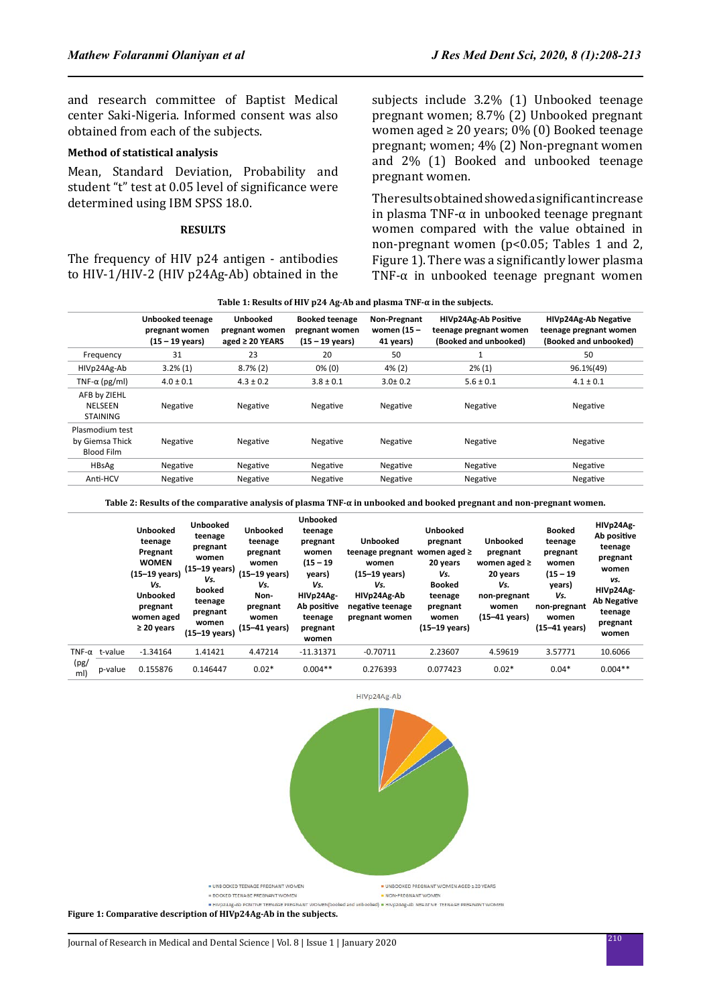and research committee of Baptist Medical center Saki-Nigeria. Informed consent was also obtained from each of the subjects.

## **Method of statistical analysis**

Mean, Standard Deviation, Probability and student "t" test at 0.05 level of significance were determined using IBM SPSS 18.0.

#### **RESULTS**

The frequency of HIV p24 antigen - antibodies to HIV-1/HIV-2 (HIV p24Ag-Ab) obtained in the subjects include 3.2% (1) Unbooked teenage pregnant women; 8.7% (2) Unbooked pregnant women aged  $\geq 20$  years; 0% (0) Booked teenage pregnant; women; 4% (2) Non-pregnant women and 2% (1) Booked and unbooked teenage pregnant women.

The results obtained showed a significant increase in plasma TNF-α in unbooked teenage pregnant women compared with the value obtained in non-pregnant women (p<0.05; Tables 1 and 2, Figure 1). There was a significantly lower plasma TNF-α in unbooked teenage pregnant women

|                                                         | Unbooked teenage<br>pregnant women<br>$(15 - 19 \text{ years})$ | Unbooked<br>pregnant women<br>aged $\geq$ 20 YEARS | <b>Booked teenage</b><br>pregnant women<br>(15 – 19 years) | Non-Pregnant<br>women (15 -<br>41 years) | <b>HIVp24Ag-Ab Positive</b><br>teenage pregnant women<br>(Booked and unbooked) | HIVp24Ag-Ab Negative<br>teenage pregnant women<br>(Booked and unbooked) |  |
|---------------------------------------------------------|-----------------------------------------------------------------|----------------------------------------------------|------------------------------------------------------------|------------------------------------------|--------------------------------------------------------------------------------|-------------------------------------------------------------------------|--|
| Frequency                                               | 31                                                              | 23                                                 | 20                                                         | 50                                       |                                                                                | 50                                                                      |  |
| HIVp24Ag-Ab                                             | $3.2\%(1)$                                                      | $8.7\%(2)$                                         | $0\%$ (0)                                                  | $4\%$ (2)                                | $2\%$ (1)                                                                      | 96.1%(49)                                                               |  |
| TNF- $\alpha$ (pg/ml)                                   | $4.0 \pm 0.1$                                                   | $4.3 \pm 0.2$                                      | $3.8 \pm 0.1$                                              | $3.0 \pm 0.2$                            | $5.6 \pm 0.1$                                                                  | $4.1 \pm 0.1$                                                           |  |
| AFB by ZIEHL<br>NELSEEN<br><b>STAINING</b>              | Negative                                                        | Negative                                           | Negative                                                   | Negative                                 | Negative                                                                       | Negative                                                                |  |
| Plasmodium test<br>by Giemsa Thick<br><b>Blood Film</b> | Negative                                                        | Negative                                           | Negative                                                   | Negative                                 | Negative                                                                       | Negative                                                                |  |
| <b>HBsAg</b>                                            | Negative                                                        | Negative                                           | Negative                                                   | Negative                                 | Negative                                                                       | Negative                                                                |  |
| Anti-HCV                                                | Negative                                                        | Negative                                           | Negative                                                   | Negative                                 | Negative                                                                       | Negative                                                                |  |
|                                                         |                                                                 |                                                    |                                                            |                                          |                                                                                |                                                                         |  |

**Table 2: Results of the comparative analysis of plasma TNF-α in unbooked and booked pregnant and non-pregnant women.**

|                              |         | <b>Unbooked</b><br>teenage<br>Pregnant<br><b>WOMEN</b><br>(15-19 years)<br>Vs.<br><b>Unbooked</b><br>pregnant<br>women aged<br>$\geq$ 20 years | <b>Unbooked</b><br>teenage<br>pregnant<br>women<br>(15–19 years)<br>Vs.<br>booked<br>teenage<br>pregnant<br>women<br>(15-19 years) | <b>Unbooked</b><br>teenage<br>pregnant<br>women<br>(15-19 years)<br>Vs.<br>Non-<br>pregnant<br>women<br>(15–41 years) | <b>Unbooked</b><br>teenage<br>pregnant<br>women<br>$(15 - 19)$<br>years)<br>Vs.<br>HIVp24Ag-<br>Ab positive<br>teenage<br>pregnant<br>women | <b>Unbooked</b><br>teenage pregnant<br>women<br>$(15-19 \text{ years})$<br>Vs.<br>HIVp24Ag-Ab<br>negative teenage<br>pregnant women | <b>Unbooked</b><br>pregnant<br>women aged ≥<br>20 years<br>Vs.<br><b>Booked</b><br>teenage<br>pregnant<br>women<br>$(15-19 \text{ years})$ | <b>Unbooked</b><br>pregnant<br>women aged $\ge$<br>20 years<br>Vs.<br>non-pregnant<br>women<br>(15-41 years) | <b>Booked</b><br>teenage<br>pregnant<br>women<br>$(15 - 19)$<br>years)<br>Vs.<br>non-pregnant<br>women<br>$(15-41 \text{ years})$ | HIVp24Ag-<br>Ab positive<br>teenage<br>pregnant<br>women<br>vs.<br>HIVp24Ag-<br>Ab Negative<br>teenage<br>pregnant<br>women |
|------------------------------|---------|------------------------------------------------------------------------------------------------------------------------------------------------|------------------------------------------------------------------------------------------------------------------------------------|-----------------------------------------------------------------------------------------------------------------------|---------------------------------------------------------------------------------------------------------------------------------------------|-------------------------------------------------------------------------------------------------------------------------------------|--------------------------------------------------------------------------------------------------------------------------------------------|--------------------------------------------------------------------------------------------------------------|-----------------------------------------------------------------------------------------------------------------------------------|-----------------------------------------------------------------------------------------------------------------------------|
| TNF- $\alpha$<br>(pg)<br>ml) | t-value | $-1.34164$                                                                                                                                     | 1.41421                                                                                                                            | 4.47214                                                                                                               | $-11.31371$                                                                                                                                 | $-0.70711$                                                                                                                          | 2.23607                                                                                                                                    | 4.59619                                                                                                      | 3.57771                                                                                                                           | 10.6066                                                                                                                     |
|                              | p-value | 0.155876                                                                                                                                       | 0.146447                                                                                                                           | $0.02*$                                                                                                               | $0.004**$                                                                                                                                   | 0.276393                                                                                                                            | 0.077423                                                                                                                                   | $0.02*$                                                                                                      | $0.04*$                                                                                                                           | $0.004**$                                                                                                                   |



**Figure 1: Comparative description of HIVp24Ag-Ab in the subjects.**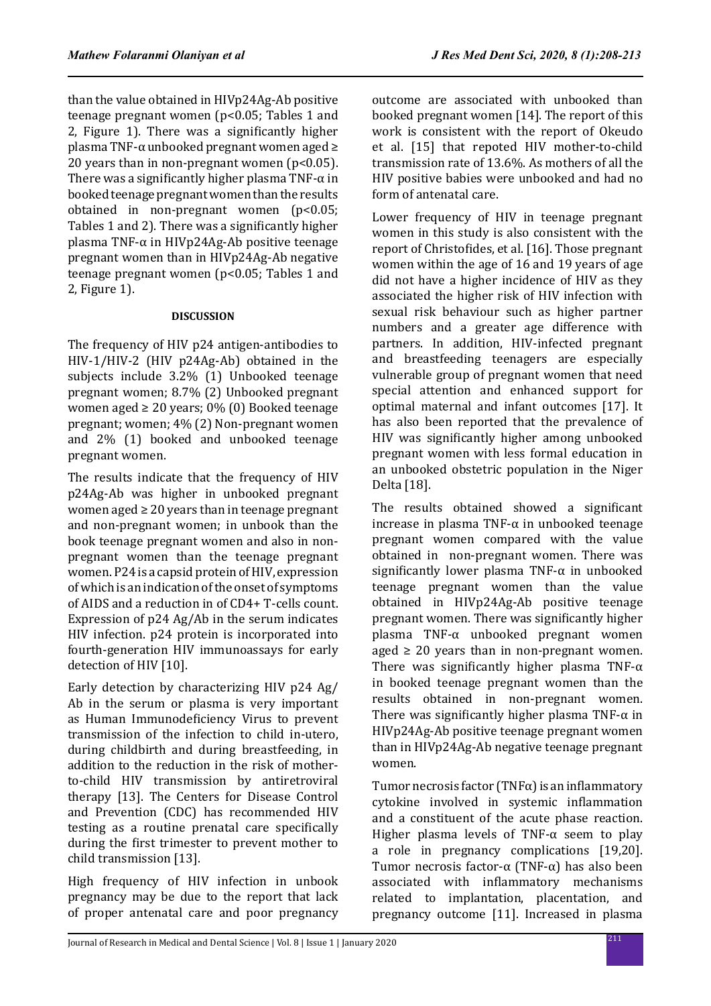than the value obtained in HIVp24Ag-Ab positive teenage pregnant women (p<0.05; Tables 1 and 2, Figure 1). There was a significantly higher plasma TNF-α unbooked pregnant women aged ≥ 20 years than in non-pregnant women  $(p<0.05)$ . There was a significantly higher plasma TNF- $\alpha$  in booked teenage pregnant women than the results obtained in non-pregnant women (p<0.05; Tables 1 and 2). There was a significantly higher plasma TNF-α in HIVp24Ag-Ab positive teenage pregnant women than in HIVp24Ag-Ab negative teenage pregnant women (p<0.05; Tables 1 and 2, Figure 1).

# **DISCUSSION**

The frequency of HIV p24 antigen-antibodies to HIV-1/HIV-2 (HIV p24Ag-Ab) obtained in the subjects include 3.2% (1) Unbooked teenage pregnant women; 8.7% (2) Unbooked pregnant women aged  $\geq 20$  years; 0% (0) Booked teenage pregnant; women; 4% (2) Non-pregnant women and 2% (1) booked and unbooked teenage pregnant women.

The results indicate that the frequency of HIV p24Ag-Ab was higher in unbooked pregnant women aged  $\geq 20$  years than in teenage pregnant and non-pregnant women; in unbook than the book teenage pregnant women and also in nonpregnant women than the teenage pregnant women. P24 is a capsid protein of HIV, expression of which is an indication of the onset of symptoms of AIDS and a reduction in of CD4+ T-cells count. Expression of p24 Ag/Ab in the serum indicates HIV infection. p24 protein is incorporated into fourth-generation HIV immunoassays for early detection of HIV [10].

Early detection by characterizing HIV p24 Ag/ Ab in the serum or plasma is very important as Human Immunodeficiency Virus to prevent transmission of the infection to child in-utero, during childbirth and during breastfeeding, in addition to the reduction in the risk of motherto-child HIV transmission by antiretroviral therapy [13]. The Centers for Disease Control and Prevention (CDC) has recommended HIV testing as a routine prenatal care specifically during the first trimester to prevent mother to child transmission [13].

High frequency of HIV infection in unbook pregnancy may be due to the report that lack of proper antenatal care and poor pregnancy outcome are associated with unbooked than booked pregnant women [14]. The report of this work is consistent with the report of Okeudo et al. [15] that repoted HIV mother-to-child transmission rate of 13.6%. As mothers of all the HIV positive babies were unbooked and had no form of antenatal care.

Lower frequency of HIV in teenage pregnant women in this study is also consistent with the report of Christofides, et al. [16]. Those pregnant women within the age of 16 and 19 years of age did not have a higher incidence of HIV as they associated the higher risk of HIV infection with sexual risk behaviour such as higher partner numbers and a greater age difference with partners. In addition, HIV-infected pregnant and breastfeeding teenagers are especially vulnerable group of pregnant women that need special attention and enhanced support for optimal maternal and infant outcomes [17]. It has also been reported that the prevalence of HIV was significantly higher among unbooked pregnant women with less formal education in an unbooked obstetric population in the Niger Delta [18].

The results obtained showed a significant increase in plasma TNF-α in unbooked teenage pregnant women compared with the value obtained in non-pregnant women. There was significantly lower plasma TNF- $\alpha$  in unbooked teenage pregnant women than the value obtained in HIVp24Ag-Ab positive teenage pregnant women. There was significantly higher plasma TNF-α unbooked pregnant women aged  $\geq$  20 years than in non-pregnant women. There was significantly higher plasma TNF- $\alpha$ in booked teenage pregnant women than the results obtained in non-pregnant women. There was significantly higher plasma TNF- $\alpha$  in HIVp24Ag-Ab positive teenage pregnant women than in HIVp24Ag-Ab negative teenage pregnant women.

Tumor necrosis factor (TNF $\alpha$ ) is an inflammatory cytokine involved in systemic inflammation and a constituent of the acute phase reaction. Higher plasma levels of TNF- $\alpha$  seem to play a role in pregnancy complications [19,20]. Tumor necrosis factor-α (TNF-α) has also been associated with inflammatory mechanisms related to implantation, placentation, and pregnancy outcome [11]. Increased in plasma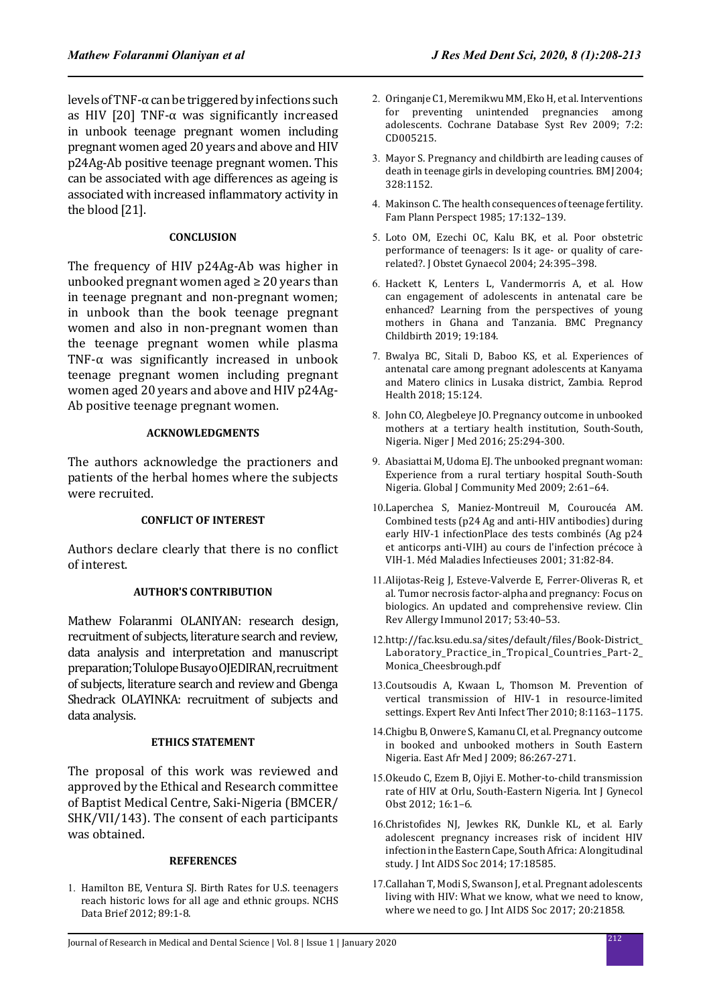levels of TNF- $\alpha$  can be triggered by infections such as HIV [20] TNF-α was significantly increased in unbook teenage pregnant women including pregnant women aged 20 years and above and HIV p24Ag-Ab positive teenage pregnant women. This can be associated with age differences as ageing is associated with increased inflammatory activity in the blood [21].

## **CONCLUSION**

The frequency of HIV p24Ag-Ab was higher in unbooked pregnant women aged  $\geq 20$  years than in teenage pregnant and non-pregnant women; in unbook than the book teenage pregnant women and also in non-pregnant women than the teenage pregnant women while plasma TNF-α was significantly increased in unbook teenage pregnant women including pregnant women aged 20 years and above and HIV p24Ag-Ab positive teenage pregnant women.

## **ACKNOWLEDGMENTS**

The authors acknowledge the practioners and patients of the herbal homes where the subjects were recruited.

#### **CONFLICT OF INTEREST**

Authors declare clearly that there is no conflict of interest.

#### **AUTHOR'S CONTRIBUTION**

Mathew Folaranmi OLANIYAN: research design, recruitment of subjects, literature search and review, data analysis and interpretation and manuscript preparation; Tolulope Busayo OJEDIRAN, recruitment of subjects, literature search and review and Gbenga Shedrack OLAYINKA: recruitment of subjects and data analysis.

## **ETHICS STATEMENT**

The proposal of this work was reviewed and approved by the Ethical and Research committee of Baptist Medical Centre, Saki-Nigeria (BMCER/ SHK/VII/143). The consent of each participants was obtained.

#### **REFERENCES**

1. Hamilton BE, Ventura SJ. Birth Rates for U.S. teenagers reach historic lows for all age and ethnic groups. NCHS Data Brief 2012; 89:1-8.

- 2. Oringanje C1, Meremikwu MM, Eko H, et al. Interventions for preventing unintended pregnancies among adolescents. Cochrane Database Syst Rev 2009; 7:2: CD005215.
- 3. Mayor S. Pregnancy and childbirth are leading causes of death in teenage girls in developing countries. BMJ 2004; 328:1152.
- 4. Makinson C. The health consequences of teenage fertility. Fam Plann Perspect 1985; 17:132–139.
- 5. Loto OM, Ezechi OC, Kalu BK, et al. Poor obstetric performance of teenagers: Is it age- or quality of carerelated?. J Obstet Gynaecol 2004; 24:395–398.
- 6. Hackett K, Lenters L, Vandermorris A, et al. How can engagement of adolescents in antenatal care be enhanced? Learning from the perspectives of young mothers in Ghana and Tanzania. BMC Pregnancy Childbirth 2019; 19:184.
- 7. Bwalya BC, Sitali D, Baboo KS, et al. Experiences of antenatal care among pregnant adolescents at Kanyama and Matero clinics in Lusaka district, Zambia. Reprod Health 2018; 15:124.
- 8. John CO, Alegbeleye JO. Pregnancy outcome in unbooked mothers at a tertiary health institution, South-South, Nigeria. Niger J Med 2016; 25:294-300.
- 9. Abasiattai M, Udoma EJ. The unbooked pregnant woman: Experience from a rural tertiary hospital South-South Nigeria. Global J Community Med 2009; 2:61–64.
- 10.Laperchea S, Maniez-Montreuil M, Couroucéa AM. Combined tests (p24 Ag and anti-HIV antibodies) during early HIV-1 infectionPlace des tests combinés (Ag p24 et anticorps anti-VIH) au cours de l'infection précoce à VIH-1. Méd Maladies Infectieuses 2001; 31:82-84.
- 11.Alijotas-Reig J, Esteve-Valverde E, Ferrer-Oliveras R, et al. Tumor necrosis factor-alpha and pregnancy: Focus on biologics. An updated and comprehensive review. Clin Rev Allergy Immunol 2017; 53:40–53.
- 12.http://fac.ksu.edu.sa/sites/default/files/Book-District\_ Laboratory\_Practice\_in\_Tropical\_Countries\_Part-2\_ Monica\_Cheesbrough.pdf
- 13.Coutsoudis A, Kwaan L, Thomson M. Prevention of vertical transmission of HIV-1 in resource-limited settings. Expert Rev Anti Infect Ther 2010; 8:1163–1175.
- 14.Chigbu B, Onwere S, Kamanu CI, et al. Pregnancy outcome in booked and unbooked mothers in South Eastern Nigeria. East Afr Med J 2009; 86:267-271.
- 15.Okeudo C, Ezem B, Ojiyi E. Mother-to-child transmission rate of HIV at Orlu, South-Eastern Nigeria. Int J Gynecol Obst 2012; 16:1–6.
- 16.Christofides NJ, Jewkes RK, Dunkle KL, et al. Early adolescent pregnancy increases risk of incident HIV infection in the Eastern Cape, South Africa: A longitudinal study. J Int AIDS Soc 2014; 17:18585.
- 17.Callahan T, Modi S, Swanson J, et al. Pregnant adolescents living with HIV: What we know, what we need to know, where we need to go. J Int AIDS Soc 2017; 20:21858.